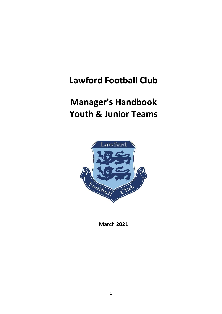## **Lawford Football Club**

# **Manager's Handbook Youth & Junior Teams**



**March 2021**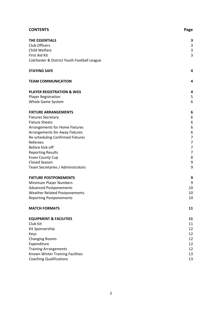| <b>CONTENTS</b>                             | Page           |
|---------------------------------------------|----------------|
| <b>THE ESSENTIALS</b>                       | 3              |
| Club Officers                               | 3              |
| Child Welfare                               | 3              |
| First Aid Kit                               | 3              |
| Colchester & District Youth Football League |                |
| <b>STAYING SAFE</b>                         | 4              |
| <b>TEAM COMMUNICATION</b>                   | 4              |
| <b>PLAYER REGISTRATION &amp; WGS</b>        | 4              |
| <b>Player Registration</b>                  | 5              |
| Whole Game System                           | 6              |
| <b>FIXTURE ARRANGEMENTS</b>                 | 6              |
| <b>Fixtures Secretary</b>                   | 6              |
| <b>Fixture Sheets</b>                       | 6              |
| Arrangements for Home Fixtures              | 6              |
| <b>Arrangements for Away Fixtures</b>       | 6              |
| Re-scheduling Confirmed Fixtures            | 7              |
| Referees                                    | $\overline{7}$ |
| Before Kick-off                             | 7              |
| <b>Reporting Results</b>                    | 7              |
| <b>Essex County Cup</b><br>Closed Season    | 8<br>9         |
|                                             | 9              |
| Team Secretaries / Administrators           |                |
| <b>FIXTURE POSTPONEMENTS</b>                | 9              |
| Minimum Player Numbers                      | 9              |
| <b>Advanced Postponements</b>               | 10             |
| Weather Related Postponements               | 10             |
| <b>Reporting Postponements</b>              | 10             |
| <b>MATCH FORMATS</b>                        | 11             |
| <b>EQUIPMENT &amp; FACILITIES</b>           | 11             |
| Club Kit                                    | 11             |
| Kit Sponsorship                             | 12             |
| Keys                                        | 12             |
| <b>Changing Rooms</b>                       | 12             |
| Expenditure                                 | 12             |
| <b>Training Arrangements</b>                | 12             |
| Known Winter Training Facilities            | 13             |
| <b>Coaching Qualifications</b>              | 13             |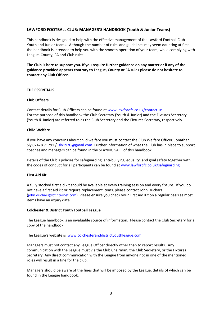## **LAWFORD FOOTBALL CLUB: MANAGER'S HANDBOOK (Youth & Junior Teams)**

This handbook is designed to help with the effective management of the Lawford Football Club Youth and Junior teams. Although the number of rules and guidelines may seem daunting at first the handbook is intended to help you with the smooth operation of your team, while complying with League, County, FA and Club rules.

**The Club is here to support you. If you require further guidance on any matter or if any of the guidance provided appears contrary to League, County or FA rules please do not hesitate to contact any Club Officer.**

## **THE ESSENTIALS**

## **Club Officers**

Contact details for Club Officers can be found at [www.lawfordfc.co.uk/contact-us](http://www.lawfordfc.co.uk/contact-us) For the purpose of this handbook the Club Secretary (Youth & Junior) and the Fixtures Secretary (Youth & Junior) are referred to as the Club Secretary and the Fixtures Secretary, respectively.

## **Child Welfare**

If you have any concerns about child welfare you must contact the Club Welfare Officer, Jonathan Sly 07428 71791 [/ jsly1970@gmail.com.](mailto:jsly1970@gmail.com) Further information of what the Club has in place to support coaches and managers can be found in the STAYING SAFE of this handbook.

Details of the Club's policies for safeguarding, anti-bullying, equality, and goal safety together with the codes of conduct for all participants can be found at [www.lawfordfc.co.uk/safeguarding](http://www.lawfordfc.co.uk/safeguarding)

#### **First Aid Kit**

A fully stocked first aid kit should be available at every training session and every fixture. If you do not have a first aid kit or require replacement items, please contact John Duchars ([john.duchars@btinternet.com](mailto:john.duchars@btinternet.com)). Please ensure you check your First Aid Kit on a regular basis as most items have an expiry date.

#### **Colchester & District Youth Football League**

The League handbook is an invaluable source of information. Please contact the Club Secretary for a copy of the handbook.

The League's website is [www.colchesteranddistrictyouthleague.com](http://www.colchesteranddistrictyouthleague.com/) 

Managers must not contact any League Officer directly other than to report results. Any communication with the League must via the Club Chairman, the Club Secretary, or the Fixtures Secretary. Any direct communication with the League from anyone not in one of the mentioned roles will result in a fine for the club.

Managers should be aware of the fines that will be imposed by the League, details of which can be found in the League handbook.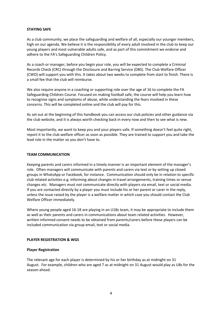#### **STAYING SAFE**

As a club community, we place the safeguarding and welfare of all, especially our younger members, high on our agenda. We believe it is the responsibility of every adult involved in the club to keep our young players and most vulnerable adults safe, and as part of this commitment we endorse and adhere to the FA's Safeguarding Children Policy.

As a coach or manager, before you begin your role, you will be expected to complete a Criminal Records Check (CRC) through the Disclosure and Barring Service (DBS). The Club Welfare Officer (CWO) will support you with this. It takes about two weeks to complete from start to finish. There is a small fee that the club will reimburse.

We also require anyone in a coaching or supporting role over the age of 16 to complete the FA Safeguarding Children Course. Focused on making football safe, the course will help you learn how to recognise signs and symptoms of abuse, while understanding the fears involved in these concerns. This will be completed online and the club will pay for this.

As set out at the beginning of this handbook you can access our club policies and other guidance via the club website, and it is always worth checking back in every now and then to see what is new.

Most importantly, we want to keep you and your players safe. If something doesn't feel quite right, report it to the club welfare officer as soon as possible. They are trained to support you and take the lead role in the matter so you don't have to.

#### **TEAM COMMUNICATION**

Keeping parents and carers informed in a timely manner is an important element of the manager's role. Often managers will communicate with parents and carers via text or by setting up closed groups in WhatsApp or Facebook, for instance. Communication should only be in relation to specific club related activities e.g. informing about changes in travel arrangements, training times or venue changes etc. Managers must not communicate directly with players via email, text or social media. If you are contacted directly by a player you must include his or her parent or carer in the reply, unless the issue raised by the player is a welfare matter in which case you should contact the Club Welfare Officer immediately.

Where young people aged 16-18 are playing in an U18s team, it may be appropriate to include them as well as their parents and carers in communications about team related activities. However, written informed consent needs to be obtained from parents/carers before these players can be included communication via group email, text or social media.

#### **PLAYER REGISTRATION & WGS**

#### **Player Registration**

The relevant age for each player is determined by his or her birthday as at midnight on 31 August. For example, children who are aged 7 as at midnight on 31 August would play as U8s for the season ahead.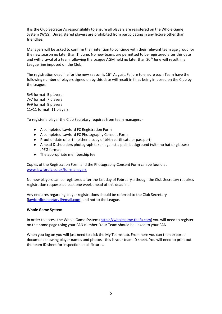It is the Club Secretary's responsibility to ensure all players are registered on the Whole Game System (WGS). Unregistered players are prohibited from participating in any fixture other than friendlies.

Managers will be asked to confirm their intention to continue with their relevant team age group for the new season no later than  $1<sup>st</sup>$  June. No new teams are permitted to be registered after this date and withdrawal of a team following the League AGM held no later than 30<sup>th</sup> June will result in a League fine imposed on the Club.

The registration deadline for the new season is  $16<sup>th</sup>$  August. Failure to ensure each Team have the following number of players signed on by this date will result in fines being imposed on the Club by the League:

5v5 format: 5 players 7v7 format: 7 players 9v9 format: 9 players 11v11 format: 11 players.

To register a player the Club Secretary requires from team managers -

- A completed Lawford FC Registration Form
- A completed Lawford FC Photography Consent Form
- Proof of date of birth (either a copy of birth certificate or passport)
- A head & shoulders photograph taken against a plain background (with no hat or glasses) JPEG format
- The appropriate membership fee

Copies of the Registration Form and the Photography Consent Form can be found at [www.lawfordfc.co.uk/for-managers](http://www.lawfordfc.co.uk/for-managers)

No new players can be registered after the last day of February although the Club Secretary requires registration requests at least one week ahead of this deadline.

Any enquires regarding player registrations should be referred to the Club Secretary [\(lawfordfcsecretary@gmail.com\)](mailto:lawfordfcsecretary@gmail.com) and not to the League.

#### **Whole Game System**

In order to access the Whole Game System [\(https://wholegame.thefa.com\)](https://wholegame.thefa.com/) you will need to register on the home page using your FAN number. Your Team should be linked to your FAN.

When you log on you will just need to click the My Teams tab. From here you can then export a document showing player names and photos - this is your team ID sheet. You will need to print out the team ID sheet for inspection at all fixtures.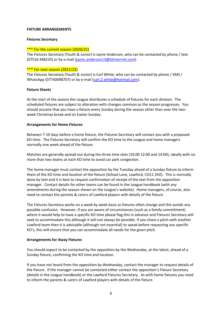#### **FIXTURE ARRANGEMENTS**

#### **Fixtures Secretary**

#### \*\*\* For the current season (2020/21)

The Fixtures Secretary (Youth & Junior) is Jayne Anderson, who can be contacted by phone / text (07516 448235) or by e-mail [\(jayne.anderson13@btinternet.com\)](mailto:jayne.anderson13@btinternet.com).

#### \*\*\* For next season (2021/22)

The Fixtures Secretary (Youth & Junior) is Carl White, who can be contacted by phone / SMS / WhatsApp (07740098707) or by e-mail [\(carl.2.white@hotmail.com\)](mailto:carl.2.white@hotmail.com).

#### **Fixture Sheets**

At the start of the season the League distributes a schedule of fixtures for each division. The scheduled fixtures are subject to alteration with changes common as the season progresses. You should assume that you have a fixture every Sunday during the season other than over the twoweek Christmas break and on Easter Sunday.

#### **Arrangements for Home Fixtures**

Between 7-10 days before a home fixture, the Fixtures Secretary will contact you with a proposed KO time. The Fixtures Secretary will confirm the KO time to the League and home managers normally one week ahead of the fixture.

Matches are generally spread out during the three time slots (10:00 12:00 and 14:00), ideally with no more than two teams at each KO time to avoid car park congestion.

The home manager must contact the opposition by the Tuesday ahead of a Sunday fixture to inform them of the KO time and location of the fixture (School Lane, Lawford, CO11 2HZ). This is normally done by text and it is best to request confirmation of receipt of the text from the opposition manager. Contact details for other teams can be found in the League handbook (with any amendments during the season shown on the League's website). Home managers, of course, also need to contact the parents & carers of Lawford players with details of the fixture.

The Fixtures Secretary works on a week by week basis as fixtures often change and this avoids any possible confusion. However, if you are aware of circumstances (such as a family commitment) where it would help to have a specific KO time please flag this in advance and Fixtures Secretary will seek to accommodate this although it will not always be possible. If you share a pitch with another Lawford team then it is advisable (although not essential) to speak before requesting any specific KO's, this will ensure that you can accommodate all needs for the given pitch.

#### **Arrangements for Away Fixtures**

You should expect to be contacted by the opposition by the Wednesday, at the latest, ahead of a Sunday fixture, confirming the KO time and location.

If you have not heard from the opposition by Wednesday, contact the manager to request details of the fixture. If the manager cannot be contacted either contact the opposition's Fixture Secretary (details in the League handbook) or the Lawford Fixtures Secretary. As with home fixtures you need to inform the parents & carers of Lawford players with details of the fixture.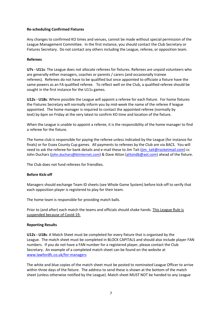## **Re-scheduling Confirmed Fixtures**

Any changes to confirmed KO times and venues, cannot be made without special permission of the League Management Committee. In the first instance, you should contact the Club Secretary or Fixtures Secretary. Do not contact any others including the League, referee, or opposition team.

## **Referees**

**U7s - U11s**: The League does not allocate referees for fixtures. Referees are unpaid volunteers who are generally either managers, coaches or parents / carers (and occasionally trainee referees). Referees do not have to be qualified but once appointed to officiate a fixture have the same powers as an FA qualified referee. To reflect well on the Club, a qualified referee should be sought in the first instance for the U11s games.

**U12s - U18s**: Where possible the League will appoint a referee for each fixture. For home fixtures the Fixtures Secretary will normally inform you by mid-week the name of the referee if league appointed. The home manager is required to contact the appointed referee (normally by text) by 6pm on Friday at the very latest to confirm KO time and location of the fixture.

When the League is unable to appoint a referee, it is the responsibility of the home manager to find a referee for the fixture.

The home club is responsible for paying the referee unless indicated by the League (for instance for finals) or for Essex County Cup games. All payments to referees by the Club are via BACS. You will need to ask the referee for bank details and e-mail these to Jim Tait (jim tait@rocketmail.com) cc John Duchars ([john.duchars@btinternet.com](mailto:john.duchars@btinternet.com)) & Dave Atton [\(attondb@aol.com\)](mailto:attondb@aol.com) ahead of the fixture.

The Club does not fund referees for friendlies.

#### **Before Kick-off**

Managers should exchange Team ID sheets (see Whole Game System) before kick-off to verify that each opposition player is registered to play for their team.

The home team is responsible for providing match balls.

Prior to (and after) each match the teams and officials should shake hands. This League Rule is suspended because of Covid-19.

#### **Reporting Results**

**U12s - U18s**: A Match Sheet must be completed for every fixture that is organised by the League. The match sheet must be completed in BLOCK CAPITALS and should also include player FAN numbers. If you do not have a FAN number for a registered player, please contact the Club Secretary. An example of a completed match sheet can be found on the website at [www.lawfordfc.co.uk/for-managers](http://www.lawfordfc.co.uk/for-managers)

The white and blue copies of the match sheet must be posted to nominated League Officer to arrive within three days of the fixture. The address to send these is shown at the bottom of the match sheet (unless otherwise notified by the League). Match sheet MUST NOT be handed to any League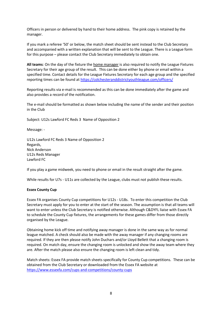Officers in person or delivered by hand to their home address. The pink copy is retained by the manager.

If you mark a referee '50' or below, the match sheet should be sent instead to the Club Secretary and accompanied with a written explanation that will be sent to the League. There is a League form for this purpose – please contact the Club Secretary immediately to obtain one.

**All teams**: On the day of the fixture the home manager is also required to notify the League Fixtures Secretary for their age group of the result. This can be done either by phone or email within a specified time. Contact details for the League Fixtures Secretary for each age group and the specified reporting times can be found at<https://colchesteranddistrictyouthleague.com/officers/>

Reporting results via e-mail is recommended as this can be done immediately after the game and also provides a record of the notification.

The e-mail should be formatted as shown below including the name of the sender and their position in the Club

Subject: U12s Lawford FC Reds 3 Name of Opposition 2

Message: -

U12s Lawford FC Reds 3 Name of Opposition 2 Regards, Nick Anderson U12s Reds Manager Lawford FC

If you play a game midweek, you need to phone or email in the result straight after the game.

While results for U7s - U11s are collected by the League, clubs must not publish these results.

#### **Essex County Cup**

Essex FA organises County Cup competitions for U12s - U18s. To enter this competition the Club Secretary must apply for you to enter at the start of the season. The assumption is that all teams will want to enter unless the Club Secretary is notified otherwise. Although C&DYFL liaise with Essex FA to schedule the County Cup fixtures, the arrangements for these games differ from those directly organised by the League.

Obtaining home kick off time and notifying away manager is done in the same way as for normal league matched. A check should also be made with the away manager if any changing rooms are required. If they are then please notify John Duchars and/or Lloyd Bellett that a changing room is required. On match day, ensure the changing room is unlocked and show the away team where they are. After the match please also ensure the changing room is left clean and tidy.

Match sheets: Essex FA provide match sheets specifically for County Cup competitions. These can be obtained from the Club Secretary or downloaded from the Essex FA website at <https://www.essexfa.com/cups-and-competitions/county-cups>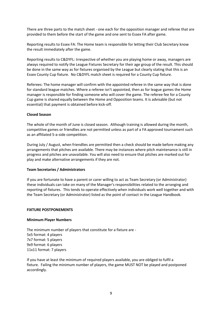There are three parts to the match sheet - one each for the opposition manager and referee that are provided to them before the start of the game and one sent to Essex FA after game.

Reporting results to Essex FA: The Home team is responsible for letting their Club Secretary know the result immediately after the game.

Reporting results to C&DYFL: Irrespective of whether you are playing home or away, managers are always required to notify the League Fixtures Secretary for their age group of the result. This should be done in the same way as for fixtures organised by the League but clearly stating that this is an Essex County Cup fixture. No C&DYFL match sheet is required for a County Cup fixture.

Referees: The home manager will confirm with the appointed referee in the same way that is done for standard league matches. Where a referee isn't appointed, then as for league games the Home manager is responsible for finding someone who will cover the game. The referee fee for a County Cup game is shared equally between the Home and Opposition teams. It is advisable (but not essential) that payment is obtained before kick-off.

#### **Closed Season**

The whole of the month of June is closed season. Although training is allowed during the month, competitive games or friendlies are not permitted unless as part of a FA approved tournament such as an affiliated 5-a-side competition.

During July / August, when friendlies are permitted then a check should be made before making any arrangements that pitches are available. There may be instances where pitch maintenance is still in progress and pitches are unavailable. You will also need to ensure that pitches are marked out for play and make alternative arrangements if they are not.

#### **Team Secretaries / Administrators**

If you are fortunate to have a parent or carer willing to act as Team Secretary (or Administrator) these individuals can take on many of the Manager's responsibilities related to the arranging and reporting of fixtures. This tends to operate effectively when individuals work well together and with the Team Secretary (or Administrator) listed as the point of contact in the League Handbook.

#### **FIXTURE POSTPONEMENTS**

#### **Minimum Player Numbers**

The minimum number of players that constitute for a fixture are - 5x5 format: 4 players 7x7 format: 5 players 9x9 format: 6 players 11x11 format: 7 players

If you have at least the minimum of required players available, you are obliged to fulfil a fixture. Failing the minimum number of players, the game MUST NOT be played and postponed accordingly.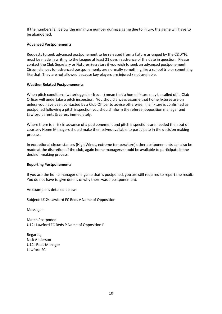If the numbers fall below the minimum number during a game due to injury, the game will have to be abandoned.

#### **Advanced Postponements**

Requests to seek advanced postponement to be released from a fixture arranged by the C&DYFL must be made in writing to the League at least 21 days in advance of the date in question. Please contact the Club Secretary or Fixtures Secretary if you wish to seek an advanced postponement. Circumstances for advanced postponements are normally something like a school trip or something like that. They are not allowed because key players are injured / not available.

## **Weather Related Postponements**

When pitch conditions (waterlogged or frozen) mean that a home fixture may be called off a Club Officer will undertake a pitch inspection. You should always assume that home fixtures are on unless you have been contacted by a Club Officer to advise otherwise. If a fixture is confirmed as postponed following a pitch inspection you should inform the referee, opposition manager and Lawford parents & carers immediately.

Where there is a risk in advance of a postponement and pitch inspections are needed then out of courtesy Home Managers should make themselves available to participate in the decision making process.

In exceptional circumstances (High Winds, extreme temperature) other postponements can also be made at the discretion of the club, again home managers should be available to participate in the decision-making process.

#### **Reporting Postponements**

If you are the home manager of a game that is postponed, you are still required to report the result. You do not have to give details of why there was a postponement.

An example is detailed below.

Subject: U12s Lawford FC Reds v Name of Opposition

Message: -

Match Postponed U12s Lawford FC Reds P Name of Opposition P

Regards, Nick Anderson U12s Reds Manager Lawford FC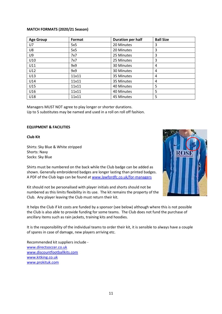#### **MATCH FORMATS (2020/21 Season)**

| <b>Age Group</b> | Format | <b>Duration per half</b> | <b>Ball Size</b> |
|------------------|--------|--------------------------|------------------|
| U7               | 5x5    | 20 Minutes               | 3                |
| U8               | 5x5    | 20 Minutes               | 3                |
| U9               | 7x7    | 25 Minutes               | 3                |
| U10              | 7x7    | 25 Minutes               | 3                |
| U11              | 9x9    | 30 Minutes               | 4                |
| U12              | 9x9    | 30 Minutes               | 4                |
| U13              | 11x11  | 35 Minutes               | 4                |
| U14              | 11x11  | 35 Minutes               | 4                |
| U15              | 11x11  | 40 Minutes               | 5                |
| U16              | 11x11  | 40 Minutes               | 5                |
| U18              | 11x11  | 45 Minutes               | 5                |

Managers MUST NOT agree to play longer or shorter durations. Up to 5 substitutes may be named and used in a roll on roll off fashion.

#### **EQUIPMENT & FACILITIES**

#### **Club Kit**

Shirts: Sky Blue & White stripped Shorts: Navy Socks: Sky Blue

Shirts must be numbered on the back while the Club badge can be added as shown. Generally embroidered badges are longer lasting than printed badges. A PDF of the Club logo can be found a[t www.lawfordfc.co.uk/for-managers](http://www.lawfordfc.co.uk/for-managers)

Kit should not be personalised with player initials and shorts should not be numbered as this limits flexibility in its use. The kit remains the property of the Club. Any player leaving the Club must return their kit.



It helps the Club if kit costs are funded by a sponsor (see below) although where this is not possible the Club is also able to provide funding for some teams. The Club does not fund the purchase of ancillary items such as rain jackets, training kits and hoodies.

It is the responsibility of the individual teams to order their kit, it is sensible to always have a couple of spares in case of damage, new players arriving etc.

Recommended kit suppliers include [www.directsoccer.co.uk](https://protect-eu.mimecast.com/s/6MaICXQN9fk5MncVq4KL?domain=directsoccer.co.uk/) [www.discountfootballkits.com](https://protect-eu.mimecast.com/s/P_qpCZ8P9sX4oMSySmqp?domain=discountfootballkits.com/) www.kitking.co.uk [www.prokituk.com](http://www.prokituk.com/)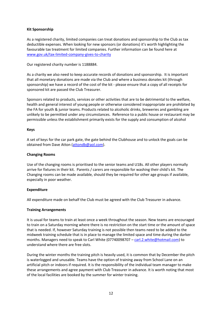## **Kit Sponsorship**

As a registered charity, limited companies can treat donations and sponsorship to the Club as tax deductible expenses. When looking for new sponsors (or donations) it's worth highlighting the favourable tax treatment for limited companies. Further information can be found here at [www.gov.uk/tax-limited-company-gives-to-charity](http://www.gov.uk/tax-limited-company-gives-to-charity)

Our registered charity number is 1188884.

As a charity we also need to keep accurate records of donations and sponsorship. It is important that all monetary donations are made via the Club and where a business donates kit (through sponsorship) we have a record of the cost of the kit - please ensure that a copy of all receipts for sponsored kit are passed the Club Treasurer.

Sponsors related to products, services or other activities that are to be detrimental to the welfare, health and general interest of young people or otherwise considered inappropriate are prohibited by the FA for youth & junior teams. Products related to alcoholic drinks, breweries and gambling are unlikely to be permitted under any circumstances. Reference to a public house or restaurant may be permissible unless the establishment primarily exists for the supply and consumption of alcohol

#### **Keys**

A set of keys for the car park gate, the gate behind the Clubhouse and to unlock the goals can be obtained from Dave Atton [\(attondb@aol.com\)](mailto:attondb@aol.com).

## **Changing Rooms**

Use of the changing rooms is prioritised to the senior teams and U18s. All other players normally arrive for fixtures in their kit. Parents / carers are responsible for washing their child's kit. The Changing rooms can be made available, should they be required for other age groups if available, especially in poor weather.

#### **Expenditure**

All expenditure made on behalf the Club must be agreed with the Club Treasurer in advance.

#### **Training Arrangements**

It is usual for teams to train at least once a week throughout the season. New teams are encouraged to train on a Saturday morning where there is no restriction on the start time or the amount of space that is needed. If, however Saturday training is not possible then teams need to be added to the midweek training schedule that is in place to manage the limited space and time during the darker months. Managers need to speak to Carl White (07740098707 – [carl.2.white@hotmail.com\)](mailto:carl.2.white@hotmail.com) to understand where there are free slots.

During the winter months the training pitch is heavily used, it is common that by December the pitch is waterlogged and unusable. Teams have the option of training away from School Lane on an artificial pitch or indoors if required. It is the responsibility of the individual team manager to make these arrangements and agree payment with Club Treasurer in advance. It is worth noting that most of the local facilities are booked by the summer for winter training.